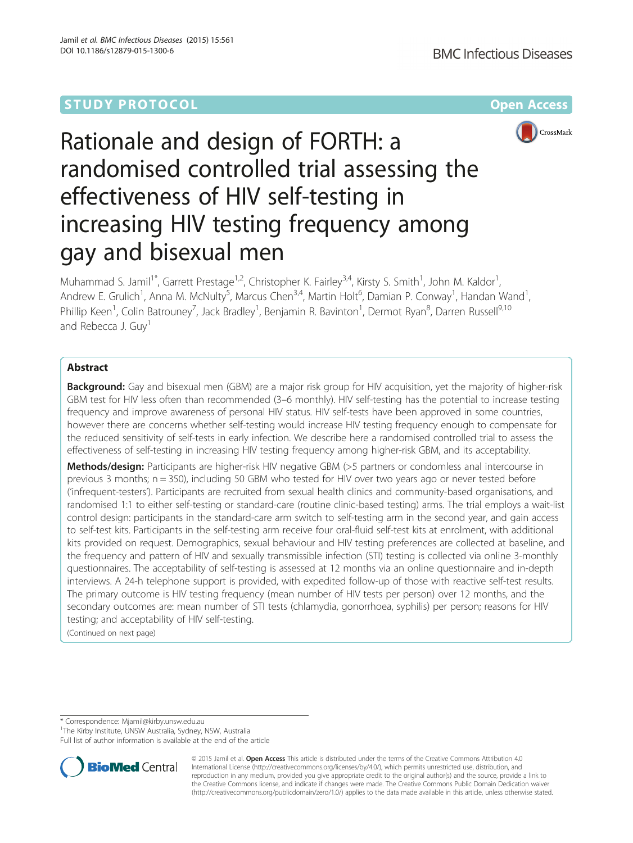

# Rationale and design of FORTH: a randomised controlled trial assessing the effectiveness of HIV self-testing in increasing HIV testing frequency among gay and bisexual men

Muhammad S. Jamil<sup>1\*</sup>, Garrett Prestage<sup>1,2</sup>, Christopher K. Fairley<sup>3,4</sup>, Kirsty S. Smith<sup>1</sup>, John M. Kaldor<sup>1</sup> , Andrew E. Grulich<sup>1</sup>, Anna M. McNulty<sup>5</sup>, Marcus Chen<sup>3,4</sup>, Martin Holt<sup>6</sup>, Damian P. Conway<sup>1</sup>, Handan Wand<sup>1</sup> , Phillip Keen<sup>1</sup>, Colin Batrouney<sup>7</sup>, Jack Bradley<sup>1</sup>, Benjamin R. Bavinton<sup>1</sup>, Dermot Ryan<sup>8</sup>, Darren Russell<sup>9,10</sup> and Rebecca J. Guv<sup>1</sup>

## Abstract

Background: Gay and bisexual men (GBM) are a major risk group for HIV acquisition, yet the majority of higher-risk GBM test for HIV less often than recommended (3–6 monthly). HIV self-testing has the potential to increase testing frequency and improve awareness of personal HIV status. HIV self-tests have been approved in some countries, however there are concerns whether self-testing would increase HIV testing frequency enough to compensate for the reduced sensitivity of self-tests in early infection. We describe here a randomised controlled trial to assess the effectiveness of self-testing in increasing HIV testing frequency among higher-risk GBM, and its acceptability.

Methods/design: Participants are higher-risk HIV negative GBM (>5 partners or condomless anal intercourse in previous 3 months; n = 350), including 50 GBM who tested for HIV over two years ago or never tested before ('infrequent-testers'). Participants are recruited from sexual health clinics and community-based organisations, and randomised 1:1 to either self-testing or standard-care (routine clinic-based testing) arms. The trial employs a wait-list control design: participants in the standard-care arm switch to self-testing arm in the second year, and gain access to self-test kits. Participants in the self-testing arm receive four oral-fluid self-test kits at enrolment, with additional kits provided on request. Demographics, sexual behaviour and HIV testing preferences are collected at baseline, and the frequency and pattern of HIV and sexually transmissible infection (STI) testing is collected via online 3-monthly questionnaires. The acceptability of self-testing is assessed at 12 months via an online questionnaire and in-depth interviews. A 24-h telephone support is provided, with expedited follow-up of those with reactive self-test results. The primary outcome is HIV testing frequency (mean number of HIV tests per person) over 12 months, and the secondary outcomes are: mean number of STI tests (chlamydia, gonorrhoea, syphilis) per person; reasons for HIV testing; and acceptability of HIV self-testing.

(Continued on next page)

\* Correspondence: [Mjamil@kirby.unsw.edu.au](mailto:Mjamil@kirby.unsw.edu.au) <sup>1</sup>

<sup>1</sup>The Kirby Institute, UNSW Australia, Sydney, NSW, Australia

Full list of author information is available at the end of the article



© 2015 Jamil et al. Open Access This article is distributed under the terms of the Creative Commons Attribution 4.0 International License [\(http://creativecommons.org/licenses/by/4.0/](http://creativecommons.org/licenses/by/4.0/)), which permits unrestricted use, distribution, and reproduction in any medium, provided you give appropriate credit to the original author(s) and the source, provide a link to the Creative Commons license, and indicate if changes were made. The Creative Commons Public Domain Dedication waiver [\(http://creativecommons.org/publicdomain/zero/1.0/](http://creativecommons.org/publicdomain/zero/1.0/)) applies to the data made available in this article, unless otherwise stated.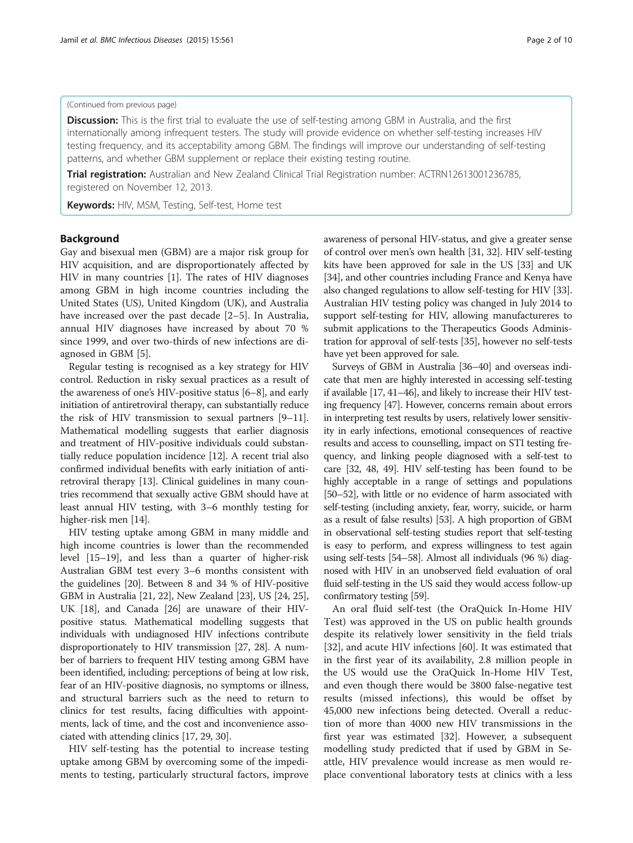#### (Continued from previous page)

**Discussion:** This is the first trial to evaluate the use of self-testing among GBM in Australia, and the first internationally among infrequent testers. The study will provide evidence on whether self-testing increases HIV testing frequency, and its acceptability among GBM. The findings will improve our understanding of self-testing patterns, and whether GBM supplement or replace their existing testing routine.

Trial registration: Australian and New Zealand Clinical Trial Registration number: [ACTRN12613001236785,](https://www.anzctr.org.au/Trial/Registration/TrialReview.aspx?id=365230&isReview=true) registered on November 12, 2013.

Keywords: HIV, MSM, Testing, Self-test, Home test

## **Background**

Gay and bisexual men (GBM) are a major risk group for HIV acquisition, and are disproportionately affected by HIV in many countries [[1\]](#page-7-0). The rates of HIV diagnoses among GBM in high income countries including the United States (US), United Kingdom (UK), and Australia have increased over the past decade [\[2](#page-7-0)–[5\]](#page-7-0). In Australia, annual HIV diagnoses have increased by about 70 % since 1999, and over two-thirds of new infections are diagnosed in GBM [[5\]](#page-7-0).

Regular testing is recognised as a key strategy for HIV control. Reduction in risky sexual practices as a result of the awareness of one's HIV-positive status [[6](#page-7-0)–[8](#page-7-0)], and early initiation of antiretroviral therapy, can substantially reduce the risk of HIV transmission to sexual partners [\[9](#page-7-0)–[11](#page-8-0)]. Mathematical modelling suggests that earlier diagnosis and treatment of HIV-positive individuals could substantially reduce population incidence [[12](#page-8-0)]. A recent trial also confirmed individual benefits with early initiation of antiretroviral therapy [[13](#page-8-0)]. Clinical guidelines in many countries recommend that sexually active GBM should have at least annual HIV testing, with 3–6 monthly testing for higher-risk men [\[14\]](#page-8-0).

HIV testing uptake among GBM in many middle and high income countries is lower than the recommended level [\[15](#page-8-0)–[19](#page-8-0)], and less than a quarter of higher-risk Australian GBM test every 3–6 months consistent with the guidelines [\[20\]](#page-8-0). Between 8 and 34 % of HIV-positive GBM in Australia [\[21, 22](#page-8-0)], New Zealand [[23](#page-8-0)], US [\[24, 25](#page-8-0)], UK [[18](#page-8-0)], and Canada [[26](#page-8-0)] are unaware of their HIVpositive status. Mathematical modelling suggests that individuals with undiagnosed HIV infections contribute disproportionately to HIV transmission [[27, 28\]](#page-8-0). A number of barriers to frequent HIV testing among GBM have been identified, including: perceptions of being at low risk, fear of an HIV-positive diagnosis, no symptoms or illness, and structural barriers such as the need to return to clinics for test results, facing difficulties with appointments, lack of time, and the cost and inconvenience associated with attending clinics [\[17, 29](#page-8-0), [30](#page-8-0)].

HIV self-testing has the potential to increase testing uptake among GBM by overcoming some of the impediments to testing, particularly structural factors, improve awareness of personal HIV-status, and give a greater sense of control over men's own health [\[31](#page-8-0), [32\]](#page-8-0). HIV self-testing kits have been approved for sale in the US [[33](#page-8-0)] and UK [[34](#page-8-0)], and other countries including France and Kenya have also changed regulations to allow self-testing for HIV [[33](#page-8-0)]. Australian HIV testing policy was changed in July 2014 to support self-testing for HIV, allowing manufactureres to submit applications to the Therapeutics Goods Administration for approval of self-tests [[35](#page-8-0)], however no self-tests have yet been approved for sale.

Surveys of GBM in Australia [\[36](#page-8-0)–[40\]](#page-8-0) and overseas indicate that men are highly interested in accessing self-testing if available [\[17](#page-8-0), [41](#page-8-0)–[46](#page-8-0)], and likely to increase their HIV testing frequency [\[47\]](#page-8-0). However, concerns remain about errors in interpreting test results by users, relatively lower sensitivity in early infections, emotional consequences of reactive results and access to counselling, impact on STI testing frequency, and linking people diagnosed with a self-test to care [[32, 48](#page-8-0), [49](#page-8-0)]. HIV self-testing has been found to be highly acceptable in a range of settings and populations [[50](#page-8-0)–[52](#page-8-0)], with little or no evidence of harm associated with self-testing (including anxiety, fear, worry, suicide, or harm as a result of false results) [\[53\]](#page-8-0). A high proportion of GBM in observational self-testing studies report that self-testing is easy to perform, and express willingness to test again using self-tests [[54](#page-8-0)–[58](#page-9-0)]. Almost all individuals (96 %) diagnosed with HIV in an unobserved field evaluation of oral fluid self-testing in the US said they would access follow-up confirmatory testing [[59\]](#page-9-0).

An oral fluid self-test (the OraQuick In-Home HIV Test) was approved in the US on public health grounds despite its relatively lower sensitivity in the field trials [[32\]](#page-8-0), and acute HIV infections [[60\]](#page-9-0). It was estimated that in the first year of its availability, 2.8 million people in the US would use the OraQuick In-Home HIV Test, and even though there would be 3800 false-negative test results (missed infections), this would be offset by 45,000 new infections being detected. Overall a reduction of more than 4000 new HIV transmissions in the first year was estimated [[32\]](#page-8-0). However, a subsequent modelling study predicted that if used by GBM in Seattle, HIV prevalence would increase as men would replace conventional laboratory tests at clinics with a less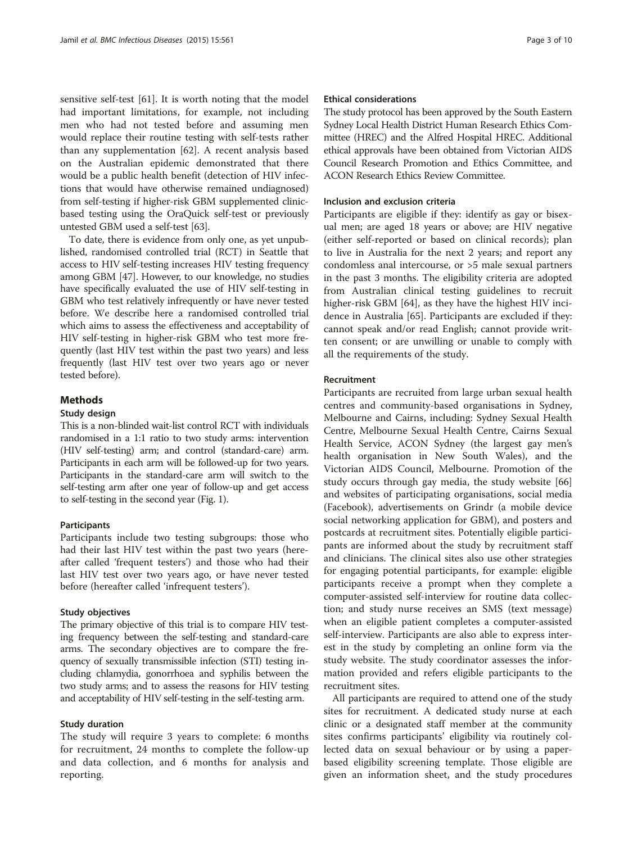sensitive self-test [\[61\]](#page-9-0). It is worth noting that the model had important limitations, for example, not including men who had not tested before and assuming men would replace their routine testing with self-tests rather than any supplementation [[62](#page-9-0)]. A recent analysis based on the Australian epidemic demonstrated that there would be a public health benefit (detection of HIV infections that would have otherwise remained undiagnosed) from self-testing if higher-risk GBM supplemented clinicbased testing using the OraQuick self-test or previously untested GBM used a self-test [[63](#page-9-0)].

To date, there is evidence from only one, as yet unpublished, randomised controlled trial (RCT) in Seattle that access to HIV self-testing increases HIV testing frequency among GBM [\[47\]](#page-8-0). However, to our knowledge, no studies have specifically evaluated the use of HIV self-testing in GBM who test relatively infrequently or have never tested before. We describe here a randomised controlled trial which aims to assess the effectiveness and acceptability of HIV self-testing in higher-risk GBM who test more frequently (last HIV test within the past two years) and less frequently (last HIV test over two years ago or never tested before).

## Methods

## Study design

This is a non-blinded wait-list control RCT with individuals randomised in a 1:1 ratio to two study arms: intervention (HIV self-testing) arm; and control (standard-care) arm. Participants in each arm will be followed-up for two years. Participants in the standard-care arm will switch to the self-testing arm after one year of follow-up and get access to self-testing in the second year (Fig. [1](#page-3-0)).

## **Participants**

Participants include two testing subgroups: those who had their last HIV test within the past two years (hereafter called 'frequent testers') and those who had their last HIV test over two years ago, or have never tested before (hereafter called 'infrequent testers').

#### Study objectives

The primary objective of this trial is to compare HIV testing frequency between the self-testing and standard-care arms. The secondary objectives are to compare the frequency of sexually transmissible infection (STI) testing including chlamydia, gonorrhoea and syphilis between the two study arms; and to assess the reasons for HIV testing and acceptability of HIV self-testing in the self-testing arm.

## Study duration

The study will require 3 years to complete: 6 months for recruitment, 24 months to complete the follow-up and data collection, and 6 months for analysis and reporting.

### Ethical considerations

The study protocol has been approved by the South Eastern Sydney Local Health District Human Research Ethics Committee (HREC) and the Alfred Hospital HREC. Additional ethical approvals have been obtained from Victorian AIDS Council Research Promotion and Ethics Committee, and ACON Research Ethics Review Committee.

## Inclusion and exclusion criteria

Participants are eligible if they: identify as gay or bisexual men; are aged 18 years or above; are HIV negative (either self-reported or based on clinical records); plan to live in Australia for the next 2 years; and report any condomless anal intercourse, or >5 male sexual partners in the past 3 months. The eligibility criteria are adopted from Australian clinical testing guidelines to recruit higher-risk GBM [\[64](#page-9-0)], as they have the highest HIV incidence in Australia [[65\]](#page-9-0). Participants are excluded if they: cannot speak and/or read English; cannot provide written consent; or are unwilling or unable to comply with all the requirements of the study.

## Recruitment

Participants are recruited from large urban sexual health centres and community-based organisations in Sydney, Melbourne and Cairns, including: Sydney Sexual Health Centre, Melbourne Sexual Health Centre, Cairns Sexual Health Service, ACON Sydney (the largest gay men's health organisation in New South Wales), and the Victorian AIDS Council, Melbourne. Promotion of the study occurs through gay media, the study website [[66](#page-9-0)] and websites of participating organisations, social media (Facebook), advertisements on Grindr (a mobile device social networking application for GBM), and posters and postcards at recruitment sites. Potentially eligible participants are informed about the study by recruitment staff and clinicians. The clinical sites also use other strategies for engaging potential participants, for example: eligible participants receive a prompt when they complete a computer-assisted self-interview for routine data collection; and study nurse receives an SMS (text message) when an eligible patient completes a computer-assisted self-interview. Participants are also able to express interest in the study by completing an online form via the study website. The study coordinator assesses the information provided and refers eligible participants to the recruitment sites.

All participants are required to attend one of the study sites for recruitment. A dedicated study nurse at each clinic or a designated staff member at the community sites confirms participants' eligibility via routinely collected data on sexual behaviour or by using a paperbased eligibility screening template. Those eligible are given an information sheet, and the study procedures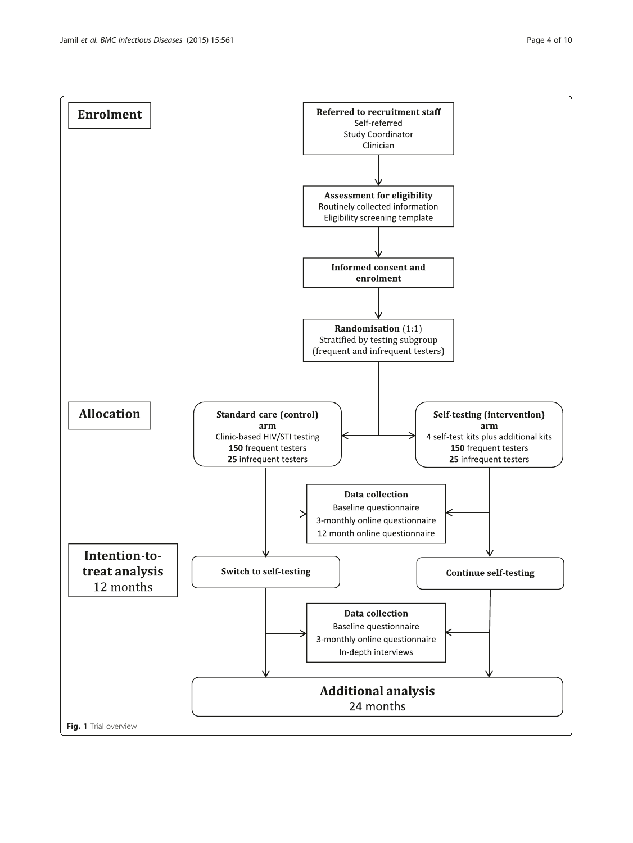<span id="page-3-0"></span>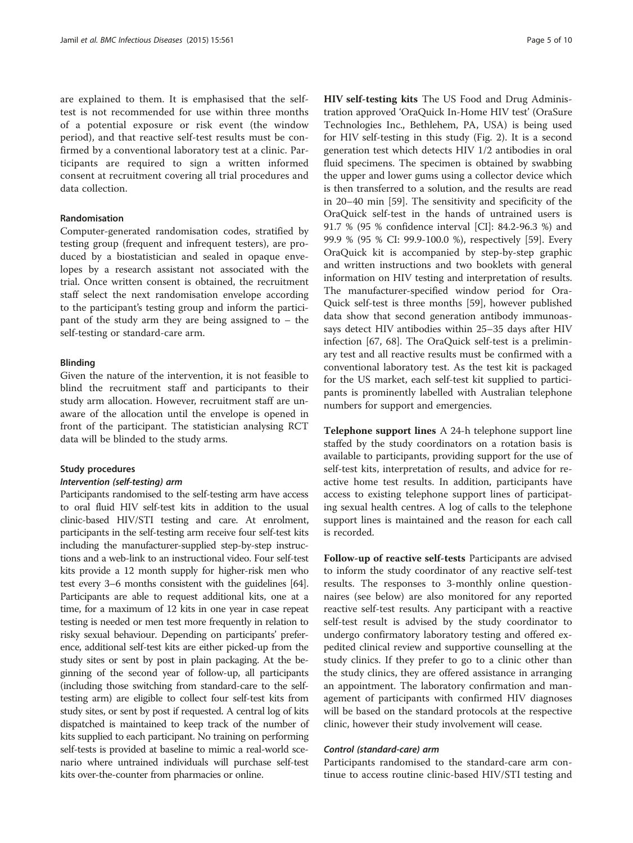are explained to them. It is emphasised that the selftest is not recommended for use within three months of a potential exposure or risk event (the window period), and that reactive self-test results must be confirmed by a conventional laboratory test at a clinic. Participants are required to sign a written informed consent at recruitment covering all trial procedures and data collection.

## Randomisation

Computer-generated randomisation codes, stratified by testing group (frequent and infrequent testers), are produced by a biostatistician and sealed in opaque envelopes by a research assistant not associated with the trial. Once written consent is obtained, the recruitment staff select the next randomisation envelope according to the participant's testing group and inform the participant of the study arm they are being assigned to – the self-testing or standard-care arm.

## Blinding

Given the nature of the intervention, it is not feasible to blind the recruitment staff and participants to their study arm allocation. However, recruitment staff are unaware of the allocation until the envelope is opened in front of the participant. The statistician analysing RCT data will be blinded to the study arms.

#### Study procedures

#### Intervention (self-testing) arm

Participants randomised to the self-testing arm have access to oral fluid HIV self-test kits in addition to the usual clinic-based HIV/STI testing and care. At enrolment, participants in the self-testing arm receive four self-test kits including the manufacturer-supplied step-by-step instructions and a web-link to an instructional video. Four self-test kits provide a 12 month supply for higher-risk men who test every 3–6 months consistent with the guidelines [\[64](#page-9-0)]. Participants are able to request additional kits, one at a time, for a maximum of 12 kits in one year in case repeat testing is needed or men test more frequently in relation to risky sexual behaviour. Depending on participants' preference, additional self-test kits are either picked-up from the study sites or sent by post in plain packaging. At the beginning of the second year of follow-up, all participants (including those switching from standard-care to the selftesting arm) are eligible to collect four self-test kits from study sites, or sent by post if requested. A central log of kits dispatched is maintained to keep track of the number of kits supplied to each participant. No training on performing self-tests is provided at baseline to mimic a real-world scenario where untrained individuals will purchase self-test kits over-the-counter from pharmacies or online.

HIV self-testing kits The US Food and Drug Administration approved 'OraQuick In-Home HIV test' (OraSure Technologies Inc., Bethlehem, PA, USA) is being used for HIV self-testing in this study (Fig. [2](#page-5-0)). It is a second generation test which detects HIV 1/2 antibodies in oral fluid specimens. The specimen is obtained by swabbing the upper and lower gums using a collector device which is then transferred to a solution, and the results are read in 20–40 min [[59](#page-9-0)]. The sensitivity and specificity of the OraQuick self-test in the hands of untrained users is 91.7 % (95 % confidence interval [CI]: 84.2-96.3 %) and 99.9 % (95 % CI: 99.9-100.0 %), respectively [\[59\]](#page-9-0). Every OraQuick kit is accompanied by step-by-step graphic and written instructions and two booklets with general information on HIV testing and interpretation of results. The manufacturer-specified window period for Ora-Quick self-test is three months [[59\]](#page-9-0), however published data show that second generation antibody immunoassays detect HIV antibodies within 25–35 days after HIV infection [[67](#page-9-0), [68](#page-9-0)]. The OraQuick self-test is a preliminary test and all reactive results must be confirmed with a conventional laboratory test. As the test kit is packaged for the US market, each self-test kit supplied to participants is prominently labelled with Australian telephone numbers for support and emergencies.

Telephone support lines A 24-h telephone support line staffed by the study coordinators on a rotation basis is available to participants, providing support for the use of self-test kits, interpretation of results, and advice for reactive home test results. In addition, participants have access to existing telephone support lines of participating sexual health centres. A log of calls to the telephone support lines is maintained and the reason for each call is recorded.

Follow-up of reactive self-tests Participants are advised to inform the study coordinator of any reactive self-test results. The responses to 3-monthly online questionnaires (see below) are also monitored for any reported reactive self-test results. Any participant with a reactive self-test result is advised by the study coordinator to undergo confirmatory laboratory testing and offered expedited clinical review and supportive counselling at the study clinics. If they prefer to go to a clinic other than the study clinics, they are offered assistance in arranging an appointment. The laboratory confirmation and management of participants with confirmed HIV diagnoses will be based on the standard protocols at the respective clinic, however their study involvement will cease.

### Control (standard-care) arm

Participants randomised to the standard-care arm continue to access routine clinic-based HIV/STI testing and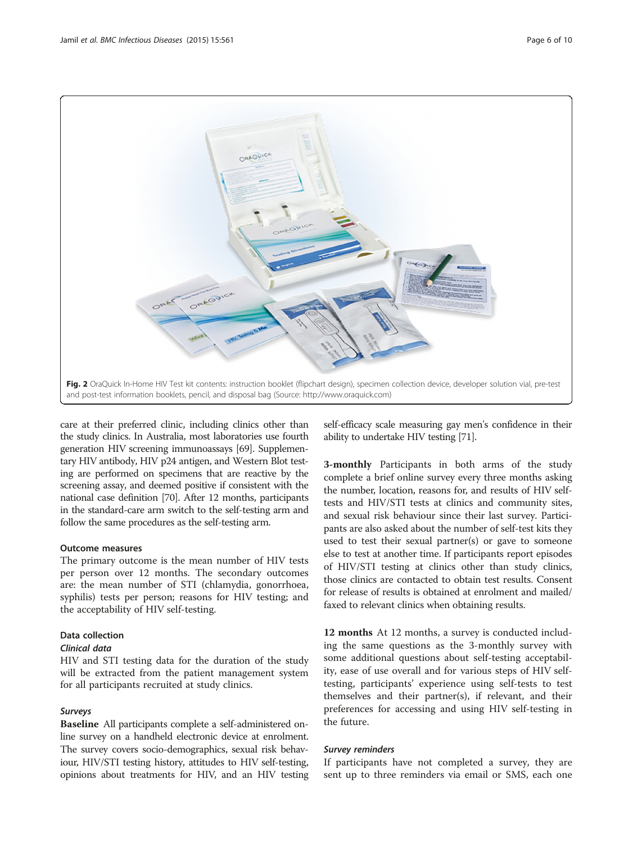<span id="page-5-0"></span>

care at their preferred clinic, including clinics other than the study clinics. In Australia, most laboratories use fourth generation HIV screening immunoassays [\[69\]](#page-9-0). Supplementary HIV antibody, HIV p24 antigen, and Western Blot testing are performed on specimens that are reactive by the screening assay, and deemed positive if consistent with the national case definition [\[70\]](#page-9-0). After 12 months, participants in the standard-care arm switch to the self-testing arm and follow the same procedures as the self-testing arm.

## Outcome measures

The primary outcome is the mean number of HIV tests per person over 12 months. The secondary outcomes are: the mean number of STI (chlamydia, gonorrhoea, syphilis) tests per person; reasons for HIV testing; and the acceptability of HIV self-testing.

## Data collection

## Clinical data

HIV and STI testing data for the duration of the study will be extracted from the patient management system for all participants recruited at study clinics.

## Surveys

Baseline All participants complete a self-administered online survey on a handheld electronic device at enrolment. The survey covers socio-demographics, sexual risk behaviour, HIV/STI testing history, attitudes to HIV self-testing, opinions about treatments for HIV, and an HIV testing

self-efficacy scale measuring gay men's confidence in their ability to undertake HIV testing [\[71\]](#page-9-0).

3-monthly Participants in both arms of the study complete a brief online survey every three months asking the number, location, reasons for, and results of HIV selftests and HIV/STI tests at clinics and community sites, and sexual risk behaviour since their last survey. Participants are also asked about the number of self-test kits they used to test their sexual partner(s) or gave to someone else to test at another time. If participants report episodes of HIV/STI testing at clinics other than study clinics, those clinics are contacted to obtain test results. Consent for release of results is obtained at enrolment and mailed/ faxed to relevant clinics when obtaining results.

12 months At 12 months, a survey is conducted including the same questions as the 3-monthly survey with some additional questions about self-testing acceptability, ease of use overall and for various steps of HIV selftesting, participants' experience using self-tests to test themselves and their partner(s), if relevant, and their preferences for accessing and using HIV self-testing in the future.

## Survey reminders

If participants have not completed a survey, they are sent up to three reminders via email or SMS, each one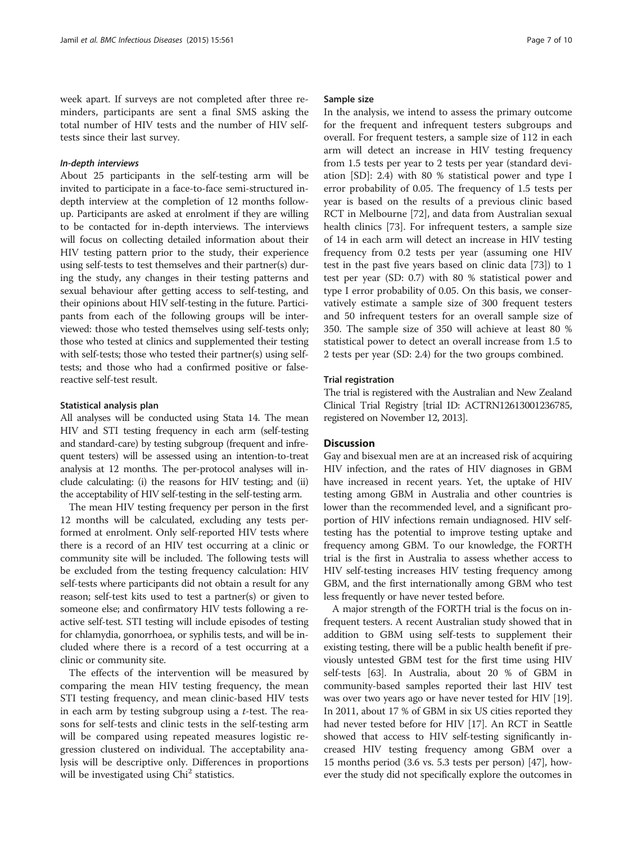week apart. If surveys are not completed after three reminders, participants are sent a final SMS asking the total number of HIV tests and the number of HIV selftests since their last survey.

### In-depth interviews

About 25 participants in the self-testing arm will be invited to participate in a face-to-face semi-structured indepth interview at the completion of 12 months followup. Participants are asked at enrolment if they are willing to be contacted for in-depth interviews. The interviews will focus on collecting detailed information about their HIV testing pattern prior to the study, their experience using self-tests to test themselves and their partner(s) during the study, any changes in their testing patterns and sexual behaviour after getting access to self-testing, and their opinions about HIV self-testing in the future. Participants from each of the following groups will be interviewed: those who tested themselves using self-tests only; those who tested at clinics and supplemented their testing with self-tests; those who tested their partner(s) using selftests; and those who had a confirmed positive or falsereactive self-test result.

## Statistical analysis plan

All analyses will be conducted using Stata 14. The mean HIV and STI testing frequency in each arm (self-testing and standard-care) by testing subgroup (frequent and infrequent testers) will be assessed using an intention-to-treat analysis at 12 months. The per-protocol analyses will include calculating: (i) the reasons for HIV testing; and (ii) the acceptability of HIV self-testing in the self-testing arm.

The mean HIV testing frequency per person in the first 12 months will be calculated, excluding any tests performed at enrolment. Only self-reported HIV tests where there is a record of an HIV test occurring at a clinic or community site will be included. The following tests will be excluded from the testing frequency calculation: HIV self-tests where participants did not obtain a result for any reason; self-test kits used to test a partner(s) or given to someone else; and confirmatory HIV tests following a reactive self-test. STI testing will include episodes of testing for chlamydia, gonorrhoea, or syphilis tests, and will be included where there is a record of a test occurring at a clinic or community site.

The effects of the intervention will be measured by comparing the mean HIV testing frequency, the mean STI testing frequency, and mean clinic-based HIV tests in each arm by testing subgroup using a t-test. The reasons for self-tests and clinic tests in the self-testing arm will be compared using repeated measures logistic regression clustered on individual. The acceptability analysis will be descriptive only. Differences in proportions will be investigated using Chi<sup>2</sup> statistics.

#### Sample size

In the analysis, we intend to assess the primary outcome for the frequent and infrequent testers subgroups and overall. For frequent testers, a sample size of 112 in each arm will detect an increase in HIV testing frequency from 1.5 tests per year to 2 tests per year (standard deviation [SD]: 2.4) with 80 % statistical power and type I error probability of 0.05. The frequency of 1.5 tests per year is based on the results of a previous clinic based RCT in Melbourne [\[72](#page-9-0)], and data from Australian sexual health clinics [[73](#page-9-0)]. For infrequent testers, a sample size of 14 in each arm will detect an increase in HIV testing frequency from 0.2 tests per year (assuming one HIV test in the past five years based on clinic data [\[73](#page-9-0)]) to 1 test per year (SD: 0.7) with 80 % statistical power and type I error probability of 0.05. On this basis, we conservatively estimate a sample size of 300 frequent testers and 50 infrequent testers for an overall sample size of 350. The sample size of 350 will achieve at least 80 % statistical power to detect an overall increase from 1.5 to 2 tests per year (SD: 2.4) for the two groups combined.

#### Trial registration

The trial is registered with the Australian and New Zealand Clinical Trial Registry [trial ID: ACTRN12613001236785, registered on November 12, 2013].

## **Discussion**

Gay and bisexual men are at an increased risk of acquiring HIV infection, and the rates of HIV diagnoses in GBM have increased in recent years. Yet, the uptake of HIV testing among GBM in Australia and other countries is lower than the recommended level, and a significant proportion of HIV infections remain undiagnosed. HIV selftesting has the potential to improve testing uptake and frequency among GBM. To our knowledge, the FORTH trial is the first in Australia to assess whether access to HIV self-testing increases HIV testing frequency among GBM, and the first internationally among GBM who test less frequently or have never tested before.

A major strength of the FORTH trial is the focus on infrequent testers. A recent Australian study showed that in addition to GBM using self-tests to supplement their existing testing, there will be a public health benefit if previously untested GBM test for the first time using HIV self-tests [[63\]](#page-9-0). In Australia, about 20 % of GBM in community-based samples reported their last HIV test was over two years ago or have never tested for HIV [[19](#page-8-0)]. In 2011, about 17 % of GBM in six US cities reported they had never tested before for HIV [[17](#page-8-0)]. An RCT in Seattle showed that access to HIV self-testing significantly increased HIV testing frequency among GBM over a 15 months period (3.6 vs. 5.3 tests per person) [\[47\]](#page-8-0), however the study did not specifically explore the outcomes in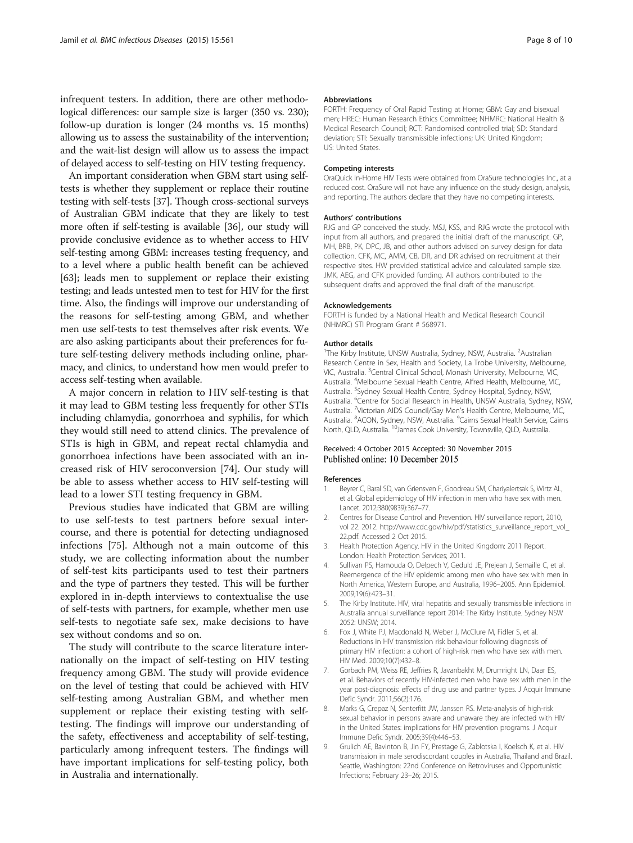<span id="page-7-0"></span>infrequent testers. In addition, there are other methodological differences: our sample size is larger (350 vs. 230); follow-up duration is longer (24 months vs. 15 months) allowing us to assess the sustainability of the intervention; and the wait-list design will allow us to assess the impact of delayed access to self-testing on HIV testing frequency.

An important consideration when GBM start using selftests is whether they supplement or replace their routine testing with self-tests [\[37\]](#page-8-0). Though cross-sectional surveys of Australian GBM indicate that they are likely to test more often if self-testing is available [\[36\]](#page-8-0), our study will provide conclusive evidence as to whether access to HIV self-testing among GBM: increases testing frequency, and to a level where a public health benefit can be achieved [[63](#page-9-0)]; leads men to supplement or replace their existing testing; and leads untested men to test for HIV for the first time. Also, the findings will improve our understanding of the reasons for self-testing among GBM, and whether men use self-tests to test themselves after risk events. We are also asking participants about their preferences for future self-testing delivery methods including online, pharmacy, and clinics, to understand how men would prefer to access self-testing when available.

A major concern in relation to HIV self-testing is that it may lead to GBM testing less frequently for other STIs including chlamydia, gonorrhoea and syphilis, for which they would still need to attend clinics. The prevalence of STIs is high in GBM, and repeat rectal chlamydia and gonorrhoea infections have been associated with an increased risk of HIV seroconversion [[74\]](#page-9-0). Our study will be able to assess whether access to HIV self-testing will lead to a lower STI testing frequency in GBM.

Previous studies have indicated that GBM are willing to use self-tests to test partners before sexual intercourse, and there is potential for detecting undiagnosed infections [[75](#page-9-0)]. Although not a main outcome of this study, we are collecting information about the number of self-test kits participants used to test their partners and the type of partners they tested. This will be further explored in in-depth interviews to contextualise the use of self-tests with partners, for example, whether men use self-tests to negotiate safe sex, make decisions to have sex without condoms and so on.

The study will contribute to the scarce literature internationally on the impact of self-testing on HIV testing frequency among GBM. The study will provide evidence on the level of testing that could be achieved with HIV self-testing among Australian GBM, and whether men supplement or replace their existing testing with selftesting. The findings will improve our understanding of the safety, effectiveness and acceptability of self-testing, particularly among infrequent testers. The findings will have important implications for self-testing policy, both in Australia and internationally.

#### Abbreviations

FORTH: Frequency of Oral Rapid Testing at Home; GBM: Gay and bisexual men; HREC: Human Research Ethics Committee; NHMRC: National Health & Medical Research Council; RCT: Randomised controlled trial; SD: Standard deviation; STI: Sexually transmissible infections; UK: United Kingdom; US: United States.

#### Competing interests

OraQuick In-Home HIV Tests were obtained from OraSure technologies Inc., at a reduced cost. OraSure will not have any influence on the study design, analysis, and reporting. The authors declare that they have no competing interests.

#### Authors' contributions

RJG and GP conceived the study. MSJ, KSS, and RJG wrote the protocol with input from all authors, and prepared the initial draft of the manuscript. GP, MH, BRB, PK, DPC, JB, and other authors advised on survey design for data collection. CFK, MC, AMM, CB, DR, and DR advised on recruitment at their respective sites. HW provided statistical advice and calculated sample size. JMK, AEG, and CFK provided funding. All authors contributed to the subsequent drafts and approved the final draft of the manuscript.

#### Acknowledgements

FORTH is funded by a National Health and Medical Research Council (NHMRC) STI Program Grant # 568971.

#### Author details

<sup>1</sup>The Kirby Institute, UNSW Australia, Sydney, NSW, Australia. <sup>2</sup>Australian Research Centre in Sex, Health and Society, La Trobe University, Melbourne, VIC, Australia. <sup>3</sup>Central Clinical School, Monash University, Melbourne, VIC Australia. <sup>4</sup>Melbourne Sexual Health Centre, Alfred Health, Melbourne, VIC Australia. <sup>5</sup>Sydney Sexual Health Centre, Sydney Hospital, Sydney, NSW, Australia. <sup>6</sup>Centre for Social Research in Health, UNSW Australia, Sydney, NSW Australia. <sup>7</sup>Victorian AIDS Council/Gay Men's Health Centre, Melbourne, VIC Australia. <sup>8</sup>ACON, Sydney, NSW, Australia. <sup>9</sup>Cairns Sexual Health Service, Cairns North, QLD, Australia. <sup>10</sup>James Cook University, Townsville, QLD, Australia.

#### Received: 4 October 2015 Accepted: 30 November 2015 Published online: 10 December 2015

#### References

- 1. Beyrer C, Baral SD, van Griensven F, Goodreau SM, Chariyalertsak S, Wirtz AL, et al. Global epidemiology of HIV infection in men who have sex with men. Lancet. 2012;380(9839):367–77.
- 2. Centres for Disease Control and Prevention. HIV surveillance report, 2010, vol 22. 2012. [http://www.cdc.gov/hiv/pdf/statistics\\_surveillance\\_report\\_vol\\_](http://www.cdc.gov/hiv/pdf/statistics_surveillance_report_vol_22.pdf) [22.pdf](http://www.cdc.gov/hiv/pdf/statistics_surveillance_report_vol_22.pdf). Accessed 2 Oct 2015.
- 3. Health Protection Agency. HIV in the United Kingdom: 2011 Report. London: Health Protection Services; 2011.
- 4. Sullivan PS, Hamouda O, Delpech V, Geduld JE, Prejean J, Semaille C, et al. Reemergence of the HIV epidemic among men who have sex with men in North America, Western Europe, and Australia, 1996–2005. Ann Epidemiol. 2009;19(6):423–31.
- 5. The Kirby Institute. HIV, viral hepatitis and sexually transmissible infections in Australia annual surveillance report 2014: The Kirby Institute. Sydney NSW 2052: UNSW; 2014.
- 6. Fox J, White PJ, Macdonald N, Weber J, McClure M, Fidler S, et al. Reductions in HIV transmission risk behaviour following diagnosis of primary HIV infection: a cohort of high-risk men who have sex with men. HIV Med. 2009;10(7):432–8.
- 7. Gorbach PM, Weiss RE, Jeffries R, Javanbakht M, Drumright LN, Daar ES, et al. Behaviors of recently HIV-infected men who have sex with men in the year post-diagnosis: effects of drug use and partner types. J Acquir Immune Defic Syndr. 2011;56(2):176.
- 8. Marks G, Crepaz N, Senterfitt JW, Janssen RS. Meta-analysis of high-risk sexual behavior in persons aware and unaware they are infected with HIV in the United States: implications for HIV prevention programs. J Acquir Immune Defic Syndr. 2005;39(4):446–53.
- 9. Grulich AE, Bavinton B, Jin FY, Prestage G, Zablotska I, Koelsch K, et al. HIV transmission in male serodiscordant couples in Australia, Thailand and Brazil. Seattle, Washington: 22nd Conference on Retroviruses and Opportunistic Infections; February 23–26; 2015.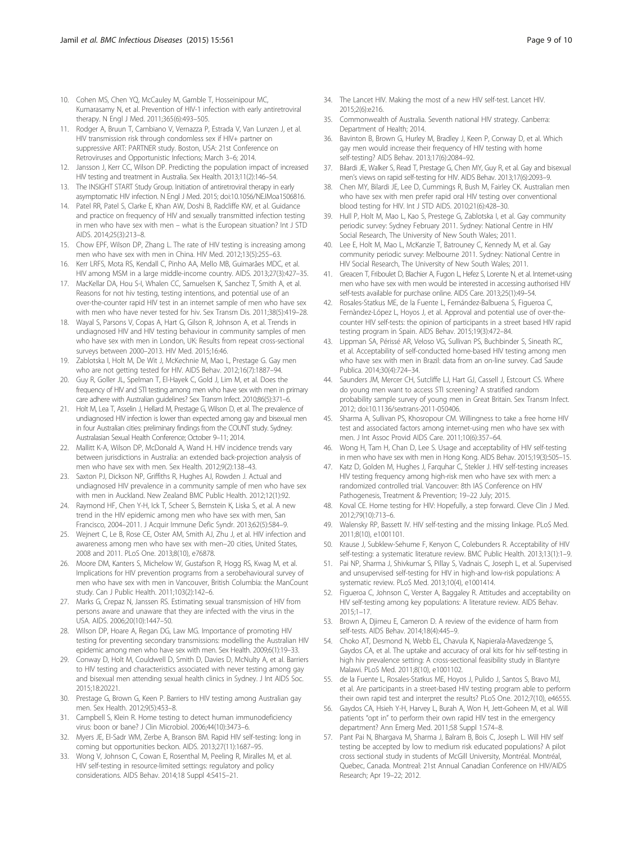- <span id="page-8-0"></span>10. Cohen MS, Chen YQ, McCauley M, Gamble T, Hosseinipour MC, Kumarasamy N, et al. Prevention of HIV-1 infection with early antiretroviral therapy. N Engl J Med. 2011;365(6):493–505.
- 11. Rodger A, Bruun T, Cambiano V, Vernazza P, Estrada V, Van Lunzen J, et al. HIV transmission risk through condomless sex if HIV+ partner on suppressive ART: PARTNER study. Boston, USA: 21st Conference on Retroviruses and Opportunistic Infections; March 3–6; 2014.
- 12. Jansson J, Kerr CC, Wilson DP. Predicting the population impact of increased HIV testing and treatment in Australia. Sex Health. 2013;11(2):146–54.
- 13. The INSIGHT START Study Group. Initiation of antiretroviral therapy in early asymptomatic HIV infection. N Engl J Med. 2015; doi[:10.1056/NEJMoa1506816](http://dx.doi.org/10.1056/NEJMoa1506816).
- 14. Patel RR, Patel S, Clarke E, Khan AW, Doshi B, Radcliffe KW, et al. Guidance and practice on frequency of HIV and sexually transmitted infection testing in men who have sex with men – what is the European situation? Int J STD AIDS. 2014;25(3):213–8.
- 15. Chow EPF, Wilson DP, Zhang L. The rate of HIV testing is increasing among men who have sex with men in China. HIV Med. 2012;13(5):255–63.
- Kerr LRFS, Mota RS, Kendall C, Pinho AA, Mello MB, Guimarães MDC, et al. HIV among MSM in a large middle-income country. AIDS. 2013;27(3):427–35.
- 17. MacKellar DA, Hou S-I, Whalen CC, Samuelsen K, Sanchez T, Smith A, et al. Reasons for not hiv testing, testing intentions, and potential use of an over-the-counter rapid HIV test in an internet sample of men who have sex with men who have never tested for hiv. Sex Transm Dis. 2011;38(5):419–28.
- 18. Wayal S, Parsons V, Copas A, Hart G, Gilson R, Johnson A, et al. Trends in undiagnosed HIV and HIV testing behaviour in community samples of men who have sex with men in London, UK: Results from repeat cross-sectional surveys between 2000–2013. HIV Med. 2015;16:46.
- 19. Zablotska I, Holt M, De Wit J, McKechnie M, Mao L, Prestage G. Gay men who are not getting tested for HIV. AIDS Behav. 2012;16(7):1887–94.
- 20. Guy R, Goller JL, Spelman T, El-Hayek C, Gold J, Lim M, et al. Does the frequency of HIV and STI testing among men who have sex with men in primary care adhere with Australian guidelines? Sex Transm Infect. 2010;86(5):371–6.
- 21. Holt M, Lea T, Asselin J, Hellard M, Prestage G, Wilson D, et al. The prevalence of undiagnosed HIV infection is lower than expected among gay and bisexual men in four Australian cities: preliminary findings from the COUNT study. Sydney: Australasian Sexual Health Conference; October 9–11; 2014.
- 22. Mallitt K-A, Wilson DP, McDonald A, Wand H. HIV incidence trends vary between jurisdictions in Australia: an extended back-projection analysis of men who have sex with men. Sex Health. 2012;9(2):138–43.
- 23. Saxton PJ, Dickson NP, Griffiths R, Hughes AJ, Rowden J. Actual and undiagnosed HIV prevalence in a community sample of men who have sex with men in Auckland. New Zealand BMC Public Health. 2012;12(1):92.
- 24. Raymond HF, Chen Y-H, Ick T, Scheer S, Bernstein K, Liska S, et al. A new trend in the HIV epidemic among men who have sex with men, San Francisco, 2004–2011. J Acquir Immune Defic Syndr. 2013;62(5):584–9.
- 25. Wejnert C, Le B, Rose CE, Oster AM, Smith AJ, Zhu J, et al. HIV infection and awareness among men who have sex with men–20 cities, United States, 2008 and 2011. PLoS One. 2013;8(10), e76878.
- 26. Moore DM, Kanters S, Michelow W, Gustafson R, Hogg RS, Kwag M, et al. Implications for HIV prevention programs from a serobehavioural survey of men who have sex with men in Vancouver, British Columbia: the ManCount study. Can J Public Health. 2011;103(2):142–6.
- 27. Marks G, Crepaz N, Janssen RS. Estimating sexual transmission of HIV from persons aware and unaware that they are infected with the virus in the USA. AIDS. 2006;20(10):1447–50.
- 28. Wilson DP, Hoare A, Regan DG, Law MG. Importance of promoting HIV testing for preventing secondary transmissions: modelling the Australian HIV epidemic among men who have sex with men. Sex Health. 2009;6(1):19–33.
- 29. Conway D, Holt M, Couldwell D, Smith D, Davies D, McNulty A, et al. Barriers to HIV testing and characteristics associated with never testing among gay and bisexual men attending sexual health clinics in Sydney. J Int AIDS Soc. 2015;18:20221.
- 30. Prestage G, Brown G, Keen P. Barriers to HIV testing among Australian gay men. Sex Health. 2012;9(5):453–8.
- 31. Campbell S, Klein R. Home testing to detect human immunodeficiency virus: boon or bane? J Clin Microbiol. 2006;44(10):3473–6.
- 32. Myers JE, El-Sadr WM, Zerbe A, Branson BM. Rapid HIV self-testing: long in coming but opportunities beckon. AIDS. 2013;27(11):1687–95.
- 33. Wong V, Johnson C, Cowan E, Rosenthal M, Peeling R, Miralles M, et al. HIV self-testing in resource-limited settings: regulatory and policy considerations. AIDS Behav. 2014;18 Suppl 4:S415–21.
- 34. The Lancet HIV. Making the most of a new HIV self-test. Lancet HIV. 2015;2(6):e216.
- 35. Commonwealth of Australia. Seventh national HIV strategy. Canberra: Department of Health; 2014.
- 36. Bavinton B, Brown G, Hurley M, Bradley J, Keen P, Conway D, et al. Which gay men would increase their frequency of HIV testing with home self-testing? AIDS Behav. 2013;17(6):2084–92.
- 37. Bilardi JE, Walker S, Read T, Prestage G, Chen MY, Guy R, et al. Gay and bisexual men's views on rapid self-testing for HIV. AIDS Behav. 2013;17(6):2093–9.
- 38. Chen MY, Bilardi JE, Lee D, Cummings R, Bush M, Fairley CK. Australian men who have sex with men prefer rapid oral HIV testing over conventional blood testing for HIV. Int J STD AIDS. 2010;21(6):428–30.
- 39. Hull P, Holt M, Mao L, Kao S, Prestege G, Zablotska I, et al. Gay community periodic survey: Sydney February 2011. Sydney: National Centre in HIV Social Research, The University of New South Wales; 2011.
- 40. Lee E, Holt M, Mao L, McKanzie T, Batrouney C, Kennedy M, et al. Gay community periodic survey: Melbourne 2011. Sydney: National Centre in HIV Social Research, The University of New South Wales; 2011.
- 41. Greacen T, Friboulet D, Blachier A, Fugon L, Hefez S, Lorente N, et al. Internet-using men who have sex with men would be interested in accessing authorised HIV self-tests available for purchase online. AIDS Care. 2013;25(1):49–54.
- 42. Rosales-Statkus ME, de la Fuente L, Fernández-Balbuena S, Figueroa C, Fernàndez-López L, Hoyos J, et al. Approval and potential use of over-thecounter HIV self-tests: the opinion of participants in a street based HIV rapid testing program in Spain. AIDS Behav. 2015;19(3):472–84.
- 43. Lippman SA, Périssé AR, Veloso VG, Sullivan PS, Buchbinder S, Sineath RC, et al. Acceptability of self-conducted home-based HIV testing among men who have sex with men in Brazil: data from an on-line survey. Cad Saude Publica. 2014;30(4):724–34.
- 44. Saunders JM, Mercer CH, Sutcliffe LJ, Hart GJ, Cassell J, Estcourt CS, Where do young men want to access STI screening? A stratified random probability sample survey of young men in Great Britain. Sex Transm Infect. 2012; doi[:10.1136/sextrans-2011-050406](http://dx.doi.org/10.1136/sextrans-2011-050406).
- 45. Sharma A, Sullivan PS, Khosropour CM. Willingness to take a free home HIV test and associated factors among internet-using men who have sex with men. J Int Assoc Provid AIDS Care. 2011;10(6):357–64.
- 46. Wong H, Tam H, Chan D, Lee S. Usage and acceptability of HIV self-testing in men who have sex with men in Hong Kong. AIDS Behav. 2015;19(3):505–15.
- 47. Katz D, Golden M, Hughes J, Farquhar C, Stekler J. HIV self-testing increases HIV testing frequency among high-risk men who have sex with men: a randomized controlled trial. Vancouver: 8th IAS Conference on HIV Pathogenesis, Treatment & Prevention; 19–22 July; 2015.
- 48. Koval CE. Home testing for HIV: Hopefully, a step forward. Cleve Clin J Med. 2012;79(10):713–6.
- 49. Walensky RP, Bassett IV. HIV self-testing and the missing linkage. PLoS Med. 2011;8(10), e1001101.
- 50. Krause J, Subklew-Sehume F, Kenyon C, Colebunders R. Acceptability of HIV self-testing: a systematic literature review. BMC Public Health. 2013;13(1):1–9.
- 51. Pai NP, Sharma J, Shivkumar S, Pillay S, Vadnais C, Joseph L, et al. Supervised and unsupervised self-testing for HIV in high-and low-risk populations: A systematic review. PLoS Med. 2013;10(4), e1001414.
- 52. Figueroa C, Johnson C, Verster A, Baggaley R. Attitudes and acceptability on HIV self-testing among key populations: A literature review. AIDS Behav. 2015;1–17.
- 53. Brown A, Djimeu E, Cameron D. A review of the evidence of harm from self-tests. AIDS Behav. 2014;18(4):445–9.
- 54. Choko AT, Desmond N, Webb EL, Chavula K, Napierala-Mavedzenge S, Gaydos CA, et al. The uptake and accuracy of oral kits for hiv self-testing in high hiv prevalence setting: A cross-sectional feasibility study in Blantyre Malawi. PLoS Med. 2011;8(10), e1001102.
- 55. de la Fuente L, Rosales-Statkus ME, Hoyos J, Pulido J, Santos S, Bravo MJ, et al. Are participants in a street-based HIV testing program able to perform their own rapid test and interpret the results? PLoS One. 2012;7(10), e46555.
- 56. Gaydos CA, Hsieh Y-H, Harvey L, Burah A, Won H, Jett-Goheen M, et al. Will patients "opt in" to perform their own rapid HIV test in the emergency department? Ann Emerg Med. 2011;58 Suppl 1:S74–8.
- 57. Pant Pai N, Bhargava M, Sharma J, Balram B, Bois C, Joseph L. Will HIV self testing be accepted by low to medium risk educated populations? A pilot cross sectional study in students of McGill University, Montréal. Montréal, Quebec, Canada. Montreal: 21st Annual Canadian Conference on HIV/AIDS Research; Apr 19–22; 2012.